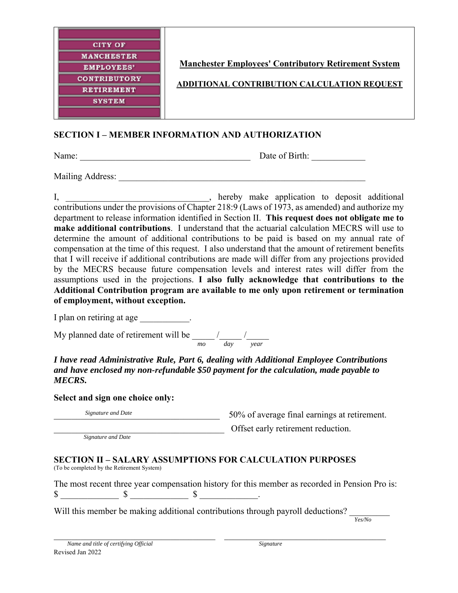

**Manchester Employees' Contributory Retirement System** 

**ADDITIONAL CONTRIBUTION CALCULATION REQUEST** 

## **SECTION I – MEMBER INFORMATION AND AUTHORIZATION**

Name: \_\_\_\_\_\_\_\_\_\_\_\_\_\_\_\_\_\_\_\_\_\_\_\_\_\_\_\_\_\_\_\_\_\_\_\_\_\_ Date of Birth: \_\_\_\_\_\_\_\_\_\_\_\_

Mailing Address:

I, \_\_\_\_\_\_\_\_\_\_\_\_\_\_\_\_\_\_\_\_\_\_\_\_\_\_\_\_\_, hereby make application to deposit additional contributions under the provisions of Chapter 218:9 (Laws of 1973, as amended) and authorize my department to release information identified in Section II. **This request does not obligate me to make additional contributions**. I understand that the actuarial calculation MECRS will use to determine the amount of additional contributions to be paid is based on my annual rate of compensation at the time of this request. I also understand that the amount of retirement benefits that I will receive if additional contributions are made will differ from any projections provided by the MECRS because future compensation levels and interest rates will differ from the assumptions used in the projections. **I also fully acknowledge that contributions to the Additional Contribution program are available to me only upon retirement or termination of employment, without exception.** 

I plan on retiring at age \_\_\_\_\_\_\_\_\_\_\_.

My planned date of retirement will be  $\frac{1}{2}$  / *mo day year*

*I have read Administrative Rule, Part 6, dealing with Additional Employee Contributions and have enclosed my non-refundable \$50 payment for the calculation, made payable to MECRS.* 

**Select and sign one choice only:**

Signature and Date<br>50% of average final earnings at retirement.

*Signature and Date* 

Offset early retirement reduction.

**SECTION II – SALARY ASSUMPTIONS FOR CALCULATION PURPOSES**

(To be completed by the Retirement System)

The most recent three year compensation history for this member as recorded in Pension Pro is:  $\begin{array}{ccccccc}\n\mathbb{S} & & & \mathbb{S} & & \mathbb{S} & \mathbb{S} & \mathbb{S} & \mathbb{S} & \mathbb{S} & \mathbb{S} & \mathbb{S} & \mathbb{S} & \mathbb{S} & \mathbb{S} & \mathbb{S} & \mathbb{S} & \mathbb{S} & \mathbb{S} & \mathbb{S} & \mathbb{S} & \mathbb{S} & \mathbb{S} & \mathbb{S} & \mathbb{S} & \mathbb{S} & \mathbb{S} & \mathbb{S} & \mathbb{S} & \mathbb{S} & \mathbb{S} & \mathbb{S} & \mathbb{S$ 

Will this member be making additional contributions through payroll deductions?

*Yes/No*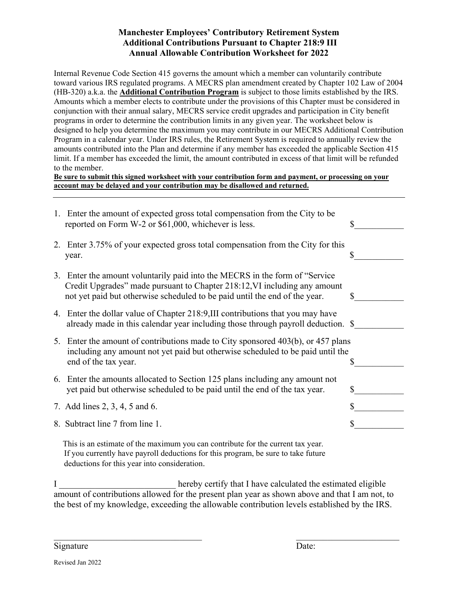## **Manchester Employees' Contributory Retirement System Additional Contributions Pursuant to Chapter 218:9 III Annual Allowable Contribution Worksheet for 2022**

Internal Revenue Code Section 415 governs the amount which a member can voluntarily contribute toward various IRS regulated programs. A MECRS plan amendment created by Chapter 102 Law of 2004 (HB-320) a.k.a. the **Additional Contribution Program** is subject to those limits established by the IRS. Amounts which a member elects to contribute under the provisions of this Chapter must be considered in conjunction with their annual salary, MECRS service credit upgrades and participation in City benefit programs in order to determine the contribution limits in any given year. The worksheet below is designed to help you determine the maximum you may contribute in our MECRS Additional Contribution Program in a calendar year. Under IRS rules, the Retirement System is required to annually review the amounts contributed into the Plan and determine if any member has exceeded the applicable Section 415 limit. If a member has exceeded the limit, the amount contributed in excess of that limit will be refunded to the member.

**Be sure to submit this signed worksheet with your contribution form and payment, or processing on your account may be delayed and your contribution may be disallowed and returned.** 

|                                                                                 | 1. Enter the amount of expected gross total compensation from the City to be<br>reported on Form W-2 or \$61,000, whichever is less.                                                                                                    | \$ |
|---------------------------------------------------------------------------------|-----------------------------------------------------------------------------------------------------------------------------------------------------------------------------------------------------------------------------------------|----|
|                                                                                 | 2. Enter 3.75% of your expected gross total compensation from the City for this<br>year.                                                                                                                                                |    |
|                                                                                 | 3. Enter the amount voluntarily paid into the MECRS in the form of "Service"<br>Credit Upgrades" made pursuant to Chapter 218:12, VI including any amount<br>not yet paid but otherwise scheduled to be paid until the end of the year. | S  |
|                                                                                 | 4. Enter the dollar value of Chapter 218:9, III contributions that you may have<br>already made in this calendar year including those through payroll deduction. \$                                                                     |    |
|                                                                                 | 5. Enter the amount of contributions made to City sponsored 403(b), or 457 plans<br>including any amount not yet paid but otherwise scheduled to be paid until the<br>end of the tax year.                                              |    |
|                                                                                 | 6. Enter the amounts allocated to Section 125 plans including any amount not<br>yet paid but otherwise scheduled to be paid until the end of the tax year.                                                                              | \$ |
|                                                                                 | 7. Add lines 2, 3, 4, 5 and 6.                                                                                                                                                                                                          | \$ |
|                                                                                 | 8. Subtract line 7 from line 1.                                                                                                                                                                                                         |    |
| This is an estimate of the maximum you can contribute for the current tax year. |                                                                                                                                                                                                                                         |    |

If you currently have payroll deductions for this program, be sure to take future deductions for this year into consideration.

I consider the extended the estimated eligible in the estimated eligible in the estimated eligible amount of contributions allowed for the present plan year as shown above and that I am not, to the best of my knowledge, exceeding the allowable contribution levels established by the IRS.

Signature Date: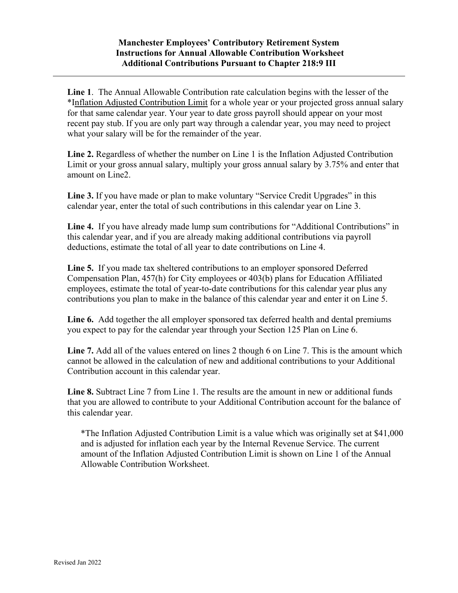## **Manchester Employees' Contributory Retirement System Instructions for Annual Allowable Contribution Worksheet Additional Contributions Pursuant to Chapter 218:9 III**

**Line 1**. The Annual Allowable Contribution rate calculation begins with the lesser of the \*Inflation Adjusted Contribution Limit for a whole year or your projected gross annual salary for that same calendar year. Your year to date gross payroll should appear on your most recent pay stub. If you are only part way through a calendar year, you may need to project what your salary will be for the remainder of the year.

**Line 2.** Regardless of whether the number on Line 1 is the Inflation Adjusted Contribution Limit or your gross annual salary, multiply your gross annual salary by 3.75% and enter that amount on Line2.

**Line 3.** If you have made or plan to make voluntary "Service Credit Upgrades" in this calendar year, enter the total of such contributions in this calendar year on Line 3.

**Line 4.** If you have already made lump sum contributions for "Additional Contributions" in this calendar year, and if you are already making additional contributions via payroll deductions, estimate the total of all year to date contributions on Line 4.

**Line 5.** If you made tax sheltered contributions to an employer sponsored Deferred Compensation Plan, 457(h) for City employees or 403(b) plans for Education Affiliated employees, estimate the total of year-to-date contributions for this calendar year plus any contributions you plan to make in the balance of this calendar year and enter it on Line 5.

**Line 6.** Add together the all employer sponsored tax deferred health and dental premiums you expect to pay for the calendar year through your Section 125 Plan on Line 6.

**Line 7.** Add all of the values entered on lines 2 though 6 on Line 7. This is the amount which cannot be allowed in the calculation of new and additional contributions to your Additional Contribution account in this calendar year.

**Line 8.** Subtract Line 7 from Line 1. The results are the amount in new or additional funds that you are allowed to contribute to your Additional Contribution account for the balance of this calendar year.

\*The Inflation Adjusted Contribution Limit is a value which was originally set at \$41,000 and is adjusted for inflation each year by the Internal Revenue Service. The current amount of the Inflation Adjusted Contribution Limit is shown on Line 1 of the Annual Allowable Contribution Worksheet.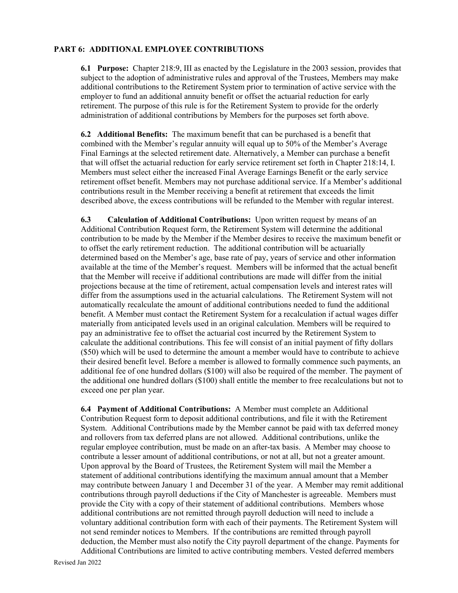## **PART 6: ADDITIONAL EMPLOYEE CONTRIBUTIONS**

**6.1 Purpose:** Chapter 218:9, III as enacted by the Legislature in the 2003 session, provides that subject to the adoption of administrative rules and approval of the Trustees, Members may make additional contributions to the Retirement System prior to termination of active service with the employer to fund an additional annuity benefit or offset the actuarial reduction for early retirement. The purpose of this rule is for the Retirement System to provide for the orderly administration of additional contributions by Members for the purposes set forth above.

**6.2 Additional Benefits:** The maximum benefit that can be purchased is a benefit that combined with the Member's regular annuity will equal up to 50% of the Member's Average Final Earnings at the selected retirement date. Alternatively, a Member can purchase a benefit that will offset the actuarial reduction for early service retirement set forth in Chapter 218:14, I. Members must select either the increased Final Average Earnings Benefit or the early service retirement offset benefit. Members may not purchase additional service. If a Member's additional contributions result in the Member receiving a benefit at retirement that exceeds the limit described above, the excess contributions will be refunded to the Member with regular interest.

**6.3 Calculation of Additional Contributions:** Upon written request by means of an Additional Contribution Request form, the Retirement System will determine the additional contribution to be made by the Member if the Member desires to receive the maximum benefit or to offset the early retirement reduction. The additional contribution will be actuarially determined based on the Member's age, base rate of pay, years of service and other information available at the time of the Member's request. Members will be informed that the actual benefit that the Member will receive if additional contributions are made will differ from the initial projections because at the time of retirement, actual compensation levels and interest rates will differ from the assumptions used in the actuarial calculations. The Retirement System will not automatically recalculate the amount of additional contributions needed to fund the additional benefit. A Member must contact the Retirement System for a recalculation if actual wages differ materially from anticipated levels used in an original calculation. Members will be required to pay an administrative fee to offset the actuarial cost incurred by the Retirement System to calculate the additional contributions. This fee will consist of an initial payment of fifty dollars (\$50) which will be used to determine the amount a member would have to contribute to achieve their desired benefit level. Before a member is allowed to formally commence such payments, an additional fee of one hundred dollars (\$100) will also be required of the member. The payment of the additional one hundred dollars (\$100) shall entitle the member to free recalculations but not to exceed one per plan year.

**6.4 Payment of Additional Contributions:** A Member must complete an Additional Contribution Request form to deposit additional contributions, and file it with the Retirement System. Additional Contributions made by the Member cannot be paid with tax deferred money and rollovers from tax deferred plans are not allowed. Additional contributions, unlike the regular employee contribution, must be made on an after-tax basis. A Member may choose to contribute a lesser amount of additional contributions, or not at all, but not a greater amount. Upon approval by the Board of Trustees, the Retirement System will mail the Member a statement of additional contributions identifying the maximum annual amount that a Member may contribute between January 1 and December 31 of the year. A Member may remit additional contributions through payroll deductions if the City of Manchester is agreeable. Members must provide the City with a copy of their statement of additional contributions. Members whose additional contributions are not remitted through payroll deduction will need to include a voluntary additional contribution form with each of their payments. The Retirement System will not send reminder notices to Members. If the contributions are remitted through payroll deduction, the Member must also notify the City payroll department of the change. Payments for Additional Contributions are limited to active contributing members. Vested deferred members